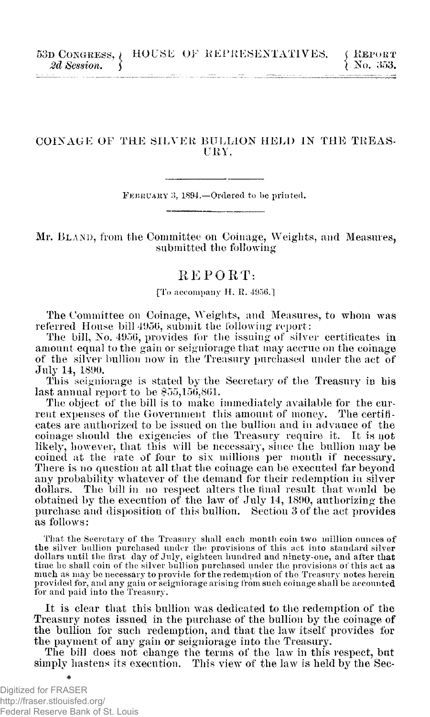## COINAGE OF THE SILVER BULLION HELD IN THE **TREAS - URY .**

**FEBRUAR Y 3, 1894.**—Ordered to be printed.

Mr. **BLAND**, from the Committee on Coinage, Weights, and Measures, submitted the following

## REPORT:

[To accompany H. R. 4956.]

The Committee on Coinage, Weights, and Measures, to whom was referred House bill 4956, submit the following report :

The bill, No. 4956, provides for the issuing of silver certificates in amount equal to the gain or seigniorage that may accrue on the coinage of the silver bullion now in the Treasury jmrchased under the act of July 14, 1890.

This seigniorage is stated by the Secretary of the Treasury in his last annual report to be \$55,156,861.

The object of the bill is to make immediately available for the current expenses of the Government this amount of money. The certificates are authorized to be issued on the bullion and in advance of the coinage should the exigencies of the Treasury require it. It is not likely, however, that this will be necessary, since the bullion may be coined at the rate of four to six millions per month if necessary. There is no question at all that the coinage can be executed far beyond any probability whatever of the demand for their redemption in silver dollars. The bill in no respect alters the final result that would be obtained by the execution of the law of July 14, 1890, authorizing the purchase and disposition of this bullion. Section 3 of the act provides as follows:

Tliat the Secretary of the Treasury shall each month coin two million ounces of the silver bullion purchased under the provisions of this act into standard silver dollars until the first day of July, eighteen hundred and ninety-one, and after that time he shall coin of the silver bullion purchased under the provisions of this act as much as may be necessary to provide for the redemption of the Treasury notes herein provided for, and any gain or seigniorage arising from such coinage shall be accounte**d**<br>for and paid into the Treasury.

It is clear that this bullion was dedicated to the redemption of the Treasury notes issued in the purchase of the bullion by the coinage of the bullion for such redemption, and that the law itself provides for the payment of any gain or seigniorage into the Treasury.

The bill does not change the terms of the law in this respect, but simply hastens its execution. This view of the law is held by the Sec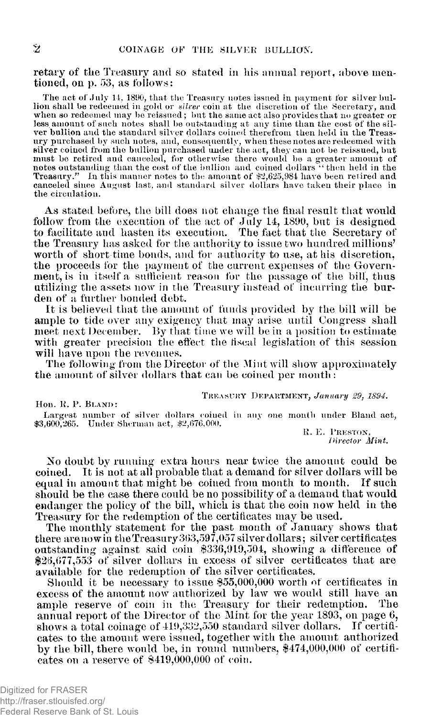retary of the Treasury and so stated in his annual report, above mentioned, on p. 53, as follows:

The act of July 14, 1890, that the Treasury notes issued in payment for silver bullion shall be redeemed in gold or *silver* coin at the discretion of the Secretary, and when so redeemed may be reissued; but the same act also provides that no greater or less amount of such notes shall be outstanding at any time than the cost of the sil-ver bullion and the standard silver dollars coined therefrom then held in the Treasury purchased by such notes, and, consequently, when these notes are redeemed with silver coined from the bullion purchased under the act, they can not be reissued, but must be retired and canceled, for otherwise there would be a greater amount of<br>notes outstanding than the cost of the bullion and coined dollars "then held in the<br>Treasury." In this manner notes to the amount of \$2.625.984 canceled since August last, and standard silver dollars have taken their place in the circulation.

As stated before, the bill does not change the final result that would follow from the execution of the act of July 14, 1890, but is designed to facilitate and hasten its execution. The fact that the Secretary of the Treasury has asked for the authority to issue two hundred millions' worth of short time bonds, and for authority to use, at his discretion, the proceeds for the payment of the current expenses of the Government, is in itself a sufficient reason for the passage of the bill, thus utilizing the assets now in the Treasury instead of incurring the burden of a further bonded debt.

It is believed that the amount of funds provided by the bill will be ample to tide over any exigency that may arise until Congress shall meet next December. By that time we will be in a position to estimate with greater precision the effect the fiscal legislation of this session will have upon the revenues.

The following from the Director of the Mint will show approximately the amount of silver dollars that can be coined per month:

Hon . **R . P . BLAND :** 

**TREASUR Y DEPARTMENT ,** *January 29. 1894.* 

Largest number of silver dollars coined in any one month under Bland act, \$3,600,265. Under Sherman act, \$2,676,000.

**R . E . PRESTON ,**  *Director Mint.* 

No doubt by running extra hours near twice the amount could be coined. It is not at all probable that a demand for silver dollars will be equal in amount that might be coined from month to month. If such should be the case there could be no possibility of a demand that would endanger the policy of the bill, which is that the coin now held in the Treasury for the redemption of the certificates may be used.

The monthly statement for the past month of January shows that there are now in the Treasury 363,597,057 silver dollars; silver certificates outstanding against said coin \$336,919,504, showing a difference of \$26,077,553 of silver dollars in excess of silver certificates that are available for the redemption of the silver certificates.

Should it be necessary to issue \$55,000,000 worth of certificates in excess of the amount now authorized by law we would still have an ample reserve of coin in the Treasury for their redemption. The ample reserve of coin in the Treasury for their redemption. annual report of the Director of the Mint for the year 1893, on page 6, shows a total coinage of 419,332,550 standard silver dollars. If certificates to the amount were issued, together with the amount authorized by the bill, there would be, in round numbers, \$474,000,000 of certificates on a reserve of \$419,000,000 of coin.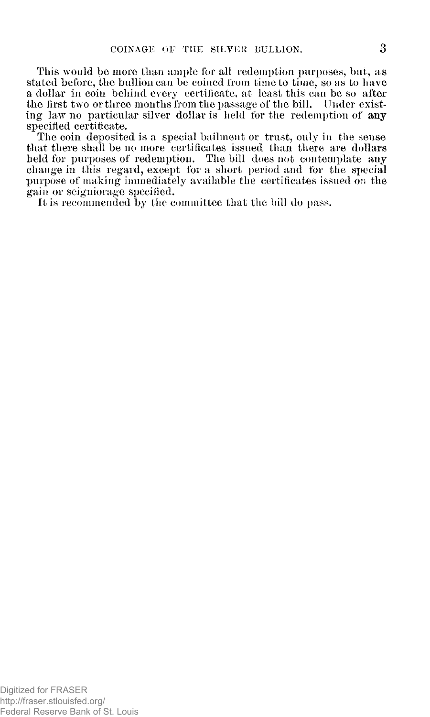This would be more than ample for all redemption purposes, but, as stated before, the bullion can be coined from time to time, so as to have a dollar in coin behind every certificate, at least this can be so after the first two or three months from the passage of the bill. Under existing law no particular silver dollar is held for the redemption of any specified certificate.

The coin deposited is a special bailment or trust, only in the sense that there shall be no more certificates issued than there are dollars held for purposes of redemption. The bill does not contemplate any change in this regard, except for a short period and for the special purpose of making immediately available the certificates issued on the gain or seigniorage specified.

It is recommended by the committee that the bill do pass.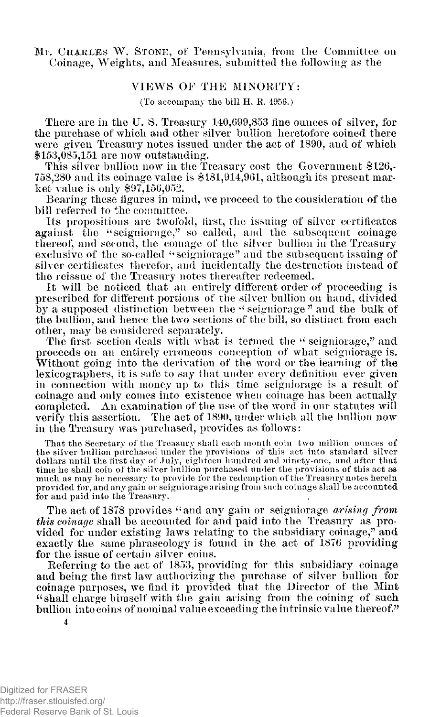Mr. **CHARLES W . STONE**, of Pennsylvania, from the Committee on **396**  Coinage, Weights, and Measures, submitted the following as the

## **VIEW S O F TH E MINORITY :**

(To accompany the bill H. R. 4956.)

There are in the U. S. Treasury 140,699,853 fine ounces of silver, for the purchase of which and other silver bullion heretofore coined there were given Treasury notes issued under the act of 1890, and of which \$153,085,151 are now outstanding.

This silver bullion now in the Treasury cost the Government \$126,- 758,280 and its coinage value is \$181,914,961, although its present market value is only \$97,156,052.

Bearing these figures in mind, we proceed to the consideration of the bill referred to the committee.

Its propositions are twofold, first, the issuing of silver certificates against the "seigniorage," so called, and the subsequent coinage thereof, and second, the coinage of the silver bullion in the Treasury exclusive of the so-called "seigniorage" and the subsequent issuing of silver certificates therefor, and incidentally the destruction instead of the reissue of the Treasury notes thereafter redeemed.

It will be noticed that an entirely different order of proceeding is prescribed for different portions of the silver bullion on hand, divided by a supposed distinction between the "seigniorage" and the bulk of the bullion, and hence the two sections of the bill, so distinct from each other, may be considered separately.

The first section deals with what is termed the " seigniorage," and proceeds on an entirely erroneous conception of what seigniorage is. Without going into the derivation of the word or the learning of the lexicographers, it is safe to say that under every definition ever given in connection with money up to this time seigniorage is a result of coinage and only comes into existence when coinage has been actually completed. An examination of the use of the word in our statutes will verify this assertion. The act of 1890, under which all the bullion now in the Treasury was purchased, provides as follows:

That the Secretary of the Treasury shall each month coin two million ounces of the silver bullion purchased under the provisions of this act into standard silver dollars until the first day of July, eighteen hundred and ninety-one, and after that time he shall coin of the silver bullion purchased under the provisions of this act as much as may be necessary to provide for the redemption of the Treasury notes herein provided for, and any gain or seigniorage arising from such coinage shall be accounted<br>for and paid into the Treasury.

The act of 1878 provides "and any gain or seigniorage *arising from this coinage* shall be accounted for and paid into the Treasury as provided for under existing laws relating to the subsidiary coinage," and exactly the same phraseology is found in the act of 1876 providing for the issue of certain silver coins.

Referring to the act of 1853, providing for this subsidiary coinage and being the first law authorizing the purchase of silver bullion for coinage purposes, we find it provided that the Director of the Mint "shall charge himself with the gain arising from the coining of such bullion into coins of nominal value exceeding the intrinsic value thereof."

Digitized for FRASER http://fraser.stlouisfed.org/ Federal Reserve Bank of St. Louis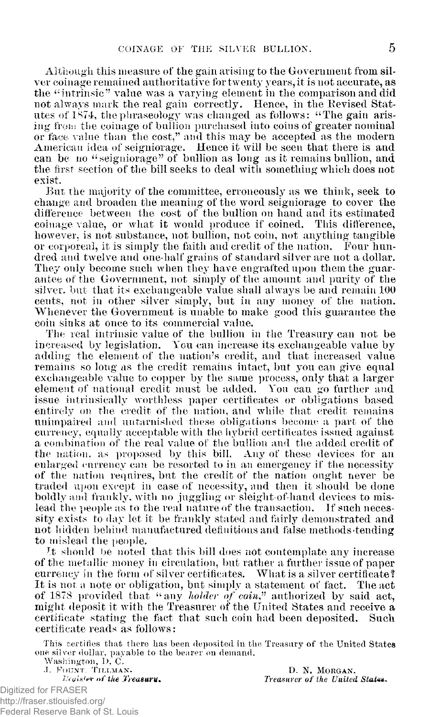Although this measure of the gain arising to the Government from silver coinage remained authoritative for twenty years, it is not accurate, as the " intrinsic " value was a varying element in the comparison and did not always mark the real gain correctly. Hence, in the Bevised Statutes of 1874, the phraseology was changed as follows: "The gain arising from the coinage of bullion purchased into coins of greater nominal or face value than the cost," and this may be accepted as the modern American idea of seigniorage. Hence it will be seen that there is and can be no "seigniorage" of bullion as long as it remains bullion, and the first section of the bill seeks to deal with something which does not exist.

But the majority of the committee, erroneously as we think, seek to change and broaden the meaning of the word seigniorage to cover the difference between the cost of the bullion on hand and its estimated coinage value, or what it would produce if coined. This difference, however, is not substance, not bullion, not coin, not anything tangible or corporeal, it is simply the faith and credit of the nation. Four hundred and twelve and one-half grains of standard silver are not a dollar. They only become such when they have engrafted upon them the guarantee of the Government, not simply of the amount and purity of the silver, but that its exchangeable value shall always be and remain 100 cents, not in other silver simply, but in any money of the nation. Whenever the Government is unable to make good this guarantee the coin sinks at once to its commercial value.

The real intrinsic value of the bullion in the Treasury can not be increased by legislation. You can increase its exchangeable value by adding the element of the nation's credit, and that increased value remains so long as the credit remains intact, but you can give equal exchangeable value to copper by the same process, only that a larger element of national credit must be added. You can go further and issue intrinsically worthless paper certificates or obligations based entirely on the credit of the nation, and while that credit remains unimpaired and untarnished these obligations become a part of the currency, equally acceptable with the hybrid certificates issued against a combination of the real value of the bullion and the added credit of the nation, as proposed by this bill. Any of these devices for an enlarged currency can be resorted to in an emergency if the necessity of the nation requires, but the credit of the nation ought never be traded upon except in case of necessity, and then it should be done boldly and frankly, with no juggling or sleight of-hand devices to mislead the people as to the real nature of the transaction. If such necessity exists to day let it be frankly stated and fairly demonstrated and not hidden behind manufactured definitions and false methods-tending to mislead the people.

*J.t* should be noted that this bill does not contemplate any increase of the metallic money in circulation, but rather a further issue of paper currency in the form of silver certificates. What is a silver certificate? It is not a note or obligation, but simply a statement of fact. The act of 1878 provided that "any *holder of coin?* authorized by said act, might deposit it with the Treasurer of the United States and receive a certificate stating the fact that such coin had been deposited. Such certificate reads as follows:

This certifies that there has been deposited in the Treasury of the United States one silver dollar, payable to the bearer on demand.

Washington, 1). C.

**J. FOUNT. TILLMAN.** D. N. MORGAN. *Reaister of the Treasury.* Treasurer of the United States.

Digitized for FRASER http://fraser.stlouisfed.org/ Federal Reserve Bank of St. Louis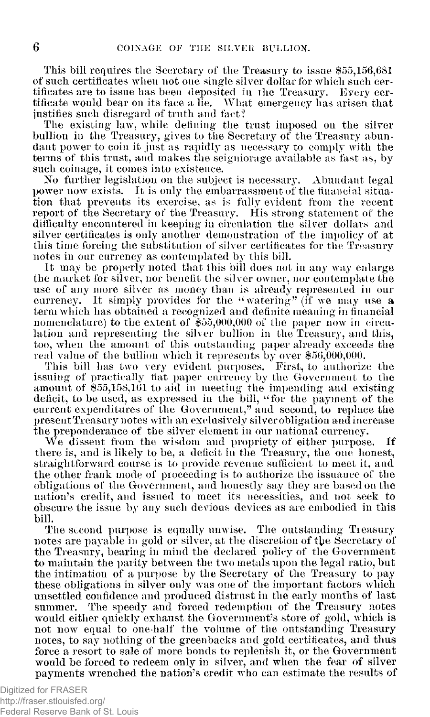This bill requires the Secretary of the Treasury to issue \$55,156,681 of such certificates when not one single silver dollar for which such certificates are to issue has been deposited in the Treasury. Every certificate would bear on its face a lie. What emergency has arisen that justifies such disregard of truth and fact!

The existing law, while defining the trust imposed on the silver bullion in the Treasury, gives to the Secretary of the Treasury abundant power to coin it just as rapidly as necessary to comply with the terms of this trust, and makes the seigniorage available as fast as, by such coinage, it comes into existence.

No further legislation on the subject is necessary. Abundant legal power now exists. It is only the embarrassment of the financial situation that prevents its exercise, as is fully evident from the recent report of the Secretary of the Treasury. His strong statement of the difficulty encountered in keeping in circulation the silver dollars and silver certificates is only another demonstration of the impolicy of at this time forcing the substitution of silver certificates for the Treasury notes in our currency as contemplated by this bill.

It may be properly noted that this bill does not in any way enlarge the market for silver, nor benefit the silver owner, nor contemplate the use of any more silver as money than is already represented in our currency. It simply provides for the "watering" (if we may use a term which has obtained a recognized and definite meaning in financial nomenclature) to the extent of \$55,000,000 of the paper now in circulation and representing the silver bullion in the Treasury, and this, too, when the amount of this outstanding paper already exceeds the real value of the bullion which it represents by over \$56,000,000.

This bill has two very evident purposes. First, to authorize the issuing of practically fiat paper currency by the Government to the amount of \$55,158,161 to aid in meeting the impending and existing deficit, to be used, as expressed in the bill, "for the payment of the current expenditures of the Government," and second, to replace the present Treasury notes with an exclusively silver obligation andincrease the preponderance of the silver element in our national currency.

We dissent from the wisdom and propriety of either purpose. If there is, and is likely to be, a deficit in the Treasury, the one honest, straightforward course is to provide revenue sufficient to meet it, and the other frank mode of proceeding is to authorize the issuance of the obligations of the Government, and honestly say they are based on the nation's credit, and issued to meet its necessities, and not seek to obscure the issue by any such devious devices as are embodied in this bill.

The second purpose is equally unwise. The outstanding Treasury notes are payable in gold or silver, at the discretion of the Secretary of the Treasury, bearing in mind the declared policy of the Government to maintain the parity between the two metals upon the legal ratio, but the intimation of a purpose by the Secretary of the Treasury to pay these obligations in silver only was one of the important factors which unsettled confidence and produced distrust in the early months of last summer. The speedy and forced redemption of the Treasury notes would either quickly exhaust the Government's store of gold, which is not now equal to one-half the volume of the outstanding Treasury notes, to say nothing of the greenbacks and gold certificates, and thus force a resort to sale of more bonds to replenish it, or the Government would be forced to redeem only in silver, and when the fear of silver payments wrenched the nation's credit who can estimate the results of